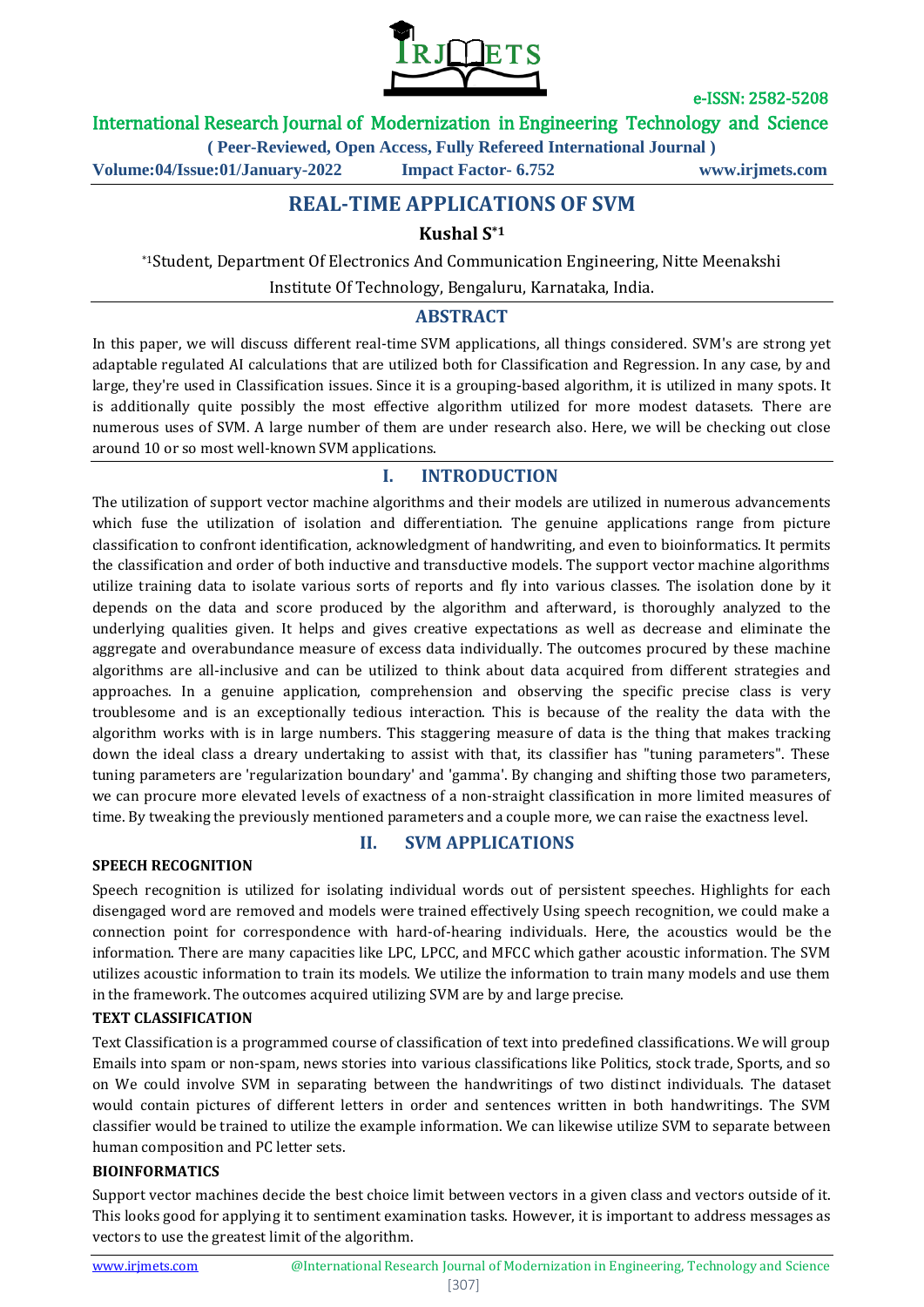

e-ISSN: 2582-5208

## International Research Journal of Modernization in Engineering Technology and Science

**( Peer-Reviewed, Open Access, Fully Refereed International Journal )**

**Volume:04/Issue:01/January-2022 Impact Factor- 6.752 www.irjmets.com**

# **REAL-TIME APPLICATIONS OF SVM**

# **Kushal S\*1**

\*1Student, Department Of Electronics And Communication Engineering, Nitte Meenakshi

Institute Of Technology, Bengaluru, Karnataka, India.

## **ABSTRACT**

In this paper, we will discuss different real-time SVM applications, all things considered. SVM's are strong yet adaptable regulated AI calculations that are utilized both for Classification and Regression. In any case, by and large, they're used in Classification issues. Since it is a grouping-based algorithm, it is utilized in many spots. It is additionally quite possibly the most effective algorithm utilized for more modest datasets. There are numerous uses of SVM. A large number of them are under research also. Here, we will be checking out close around 10 or so most well-known SVM applications.

# **I. INTRODUCTION**

The utilization of support vector machine algorithms and their models are utilized in numerous advancements which fuse the utilization of isolation and differentiation. The genuine applications range from picture classification to confront identification, acknowledgment of handwriting, and even to bioinformatics. It permits the classification and order of both inductive and transductive models. The support vector machine algorithms utilize training data to isolate various sorts of reports and fly into various classes. The isolation done by it depends on the data and score produced by the algorithm and afterward, is thoroughly analyzed to the underlying qualities given. It helps and gives creative expectations as well as decrease and eliminate the aggregate and overabundance measure of excess data individually. The outcomes procured by these machine algorithms are all-inclusive and can be utilized to think about data acquired from different strategies and approaches. In a genuine application, comprehension and observing the specific precise class is very troublesome and is an exceptionally tedious interaction. This is because of the reality the data with the algorithm works with is in large numbers. This staggering measure of data is the thing that makes tracking down the ideal class a dreary undertaking to assist with that, its classifier has "tuning parameters". These tuning parameters are 'regularization boundary' and 'gamma'. By changing and shifting those two parameters, we can procure more elevated levels of exactness of a non-straight classification in more limited measures of time. By tweaking the previously mentioned parameters and a couple more, we can raise the exactness level.

#### **SPEECH RECOGNITION**

#### **II. SVM APPLICATIONS**

Speech recognition is utilized for isolating individual words out of persistent speeches. Highlights for each disengaged word are removed and models were trained effectively Using speech recognition, we could make a connection point for correspondence with hard-of-hearing individuals. Here, the acoustics would be the information. There are many capacities like LPC, LPCC, and MFCC which gather acoustic information. The SVM utilizes acoustic information to train its models. We utilize the information to train many models and use them in the framework. The outcomes acquired utilizing SVM are by and large precise.

#### **TEXT CLASSIFICATION**

Text Classification is a programmed course of classification of text into predefined classifications. We will group Emails into spam or non-spam, news stories into various classifications like Politics, stock trade, Sports, and so on We could involve SVM in separating between the handwritings of two distinct individuals. The dataset would contain pictures of different letters in order and sentences written in both handwritings. The SVM classifier would be trained to utilize the example information. We can likewise utilize SVM to separate between human composition and PC letter sets.

#### **BIOINFORMATICS**

Support vector machines decide the best choice limit between vectors in a given class and vectors outside of it. This looks good for applying it to sentiment examination tasks. However, it is important to address messages as vectors to use the greatest limit of the algorithm.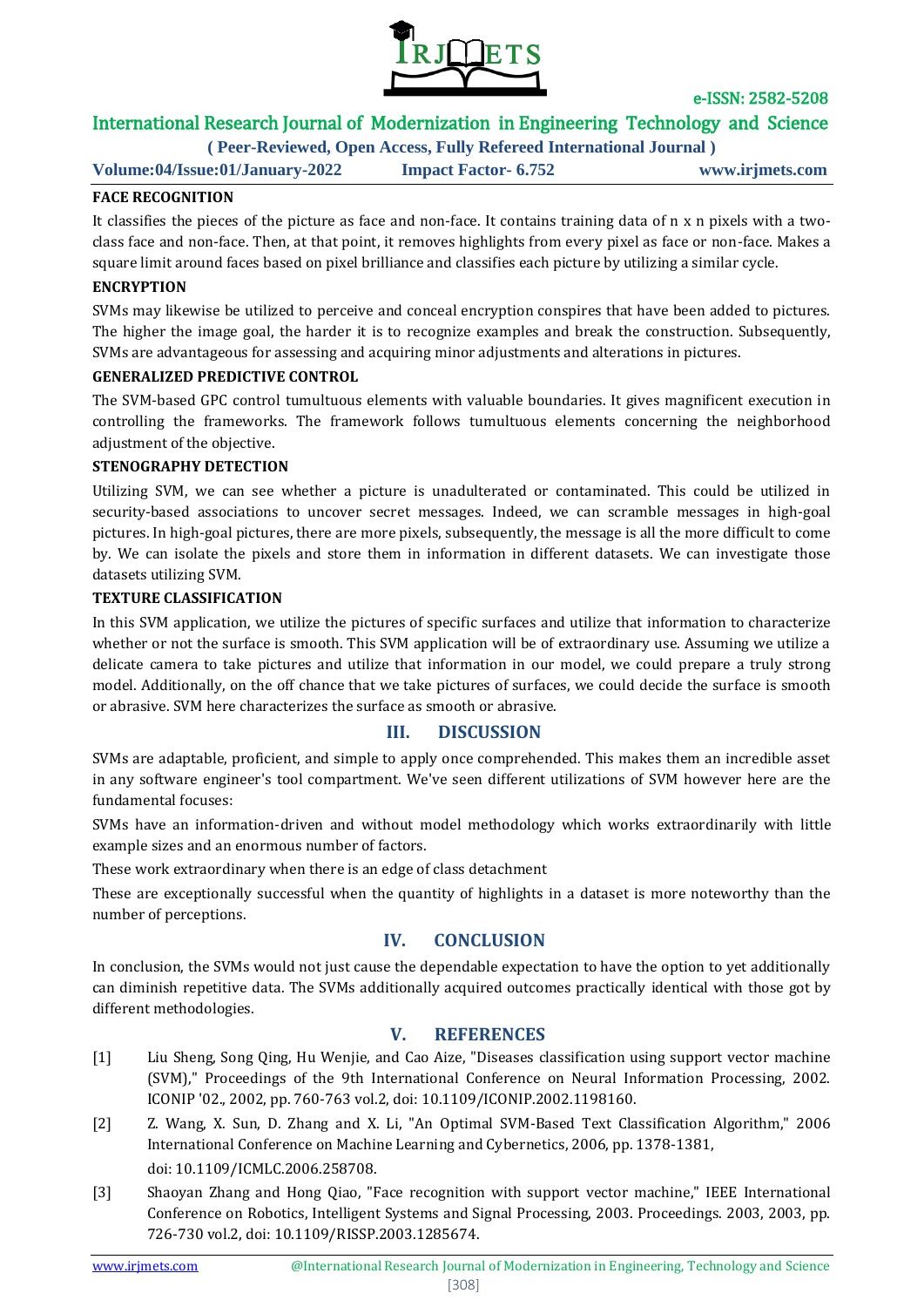

e-ISSN: 2582-5208

# International Research Journal of Modernization in Engineering Technology and Science

**( Peer-Reviewed, Open Access, Fully Refereed International Journal )**

**Volume:04/Issue:01/January-2022 Impact Factor- 6.752 www.irjmets.com**

#### **FACE RECOGNITION**

It classifies the pieces of the picture as face and non-face. It contains training data of n x n pixels with a twoclass face and non-face. Then, at that point, it removes highlights from every pixel as face or non-face. Makes a square limit around faces based on pixel brilliance and classifies each picture by utilizing a similar cycle.

#### **ENCRYPTION**

SVMs may likewise be utilized to perceive and conceal encryption conspires that have been added to pictures. The higher the image goal, the harder it is to recognize examples and break the construction. Subsequently, SVMs are advantageous for assessing and acquiring minor adjustments and alterations in pictures.

#### **GENERALIZED PREDICTIVE CONTROL**

The SVM-based GPC control tumultuous elements with valuable boundaries. It gives magnificent execution in controlling the frameworks. The framework follows tumultuous elements concerning the neighborhood adjustment of the objective.

#### **STENOGRAPHY DETECTION**

Utilizing SVM, we can see whether a picture is unadulterated or contaminated. This could be utilized in security-based associations to uncover secret messages. Indeed, we can scramble messages in high-goal pictures. In high-goal pictures, there are more pixels, subsequently, the message is all the more difficult to come by. We can isolate the pixels and store them in information in different datasets. We can investigate those datasets utilizing SVM.

#### **TEXTURE CLASSIFICATION**

In this SVM application, we utilize the pictures of specific surfaces and utilize that information to characterize whether or not the surface is smooth. This SVM application will be of extraordinary use. Assuming we utilize a delicate camera to take pictures and utilize that information in our model, we could prepare a truly strong model. Additionally, on the off chance that we take pictures of surfaces, we could decide the surface is smooth or abrasive. SVM here characterizes the surface as smooth or abrasive.

#### **III. DISCUSSION**

SVMs are adaptable, proficient, and simple to apply once comprehended. This makes them an incredible asset in any software engineer's tool compartment. We've seen different utilizations of SVM however here are the fundamental focuses:

SVMs have an information-driven and without model methodology which works extraordinarily with little example sizes and an enormous number of factors.

These work extraordinary when there is an edge of class detachment

These are exceptionally successful when the quantity of highlights in a dataset is more noteworthy than the number of perceptions.

#### **IV. CONCLUSION**

In conclusion, the SVMs would not just cause the dependable expectation to have the option to yet additionally can diminish repetitive data. The SVMs additionally acquired outcomes practically identical with those got by different methodologies.

# **V. REFERENCES**

- [1] Liu Sheng, Song Qing, Hu Wenjie, and Cao Aize, "Diseases classification using support vector machine (SVM)," Proceedings of the 9th International Conference on Neural Information Processing, 2002. ICONIP '02., 2002, pp. 760-763 vol.2, doi: 10.1109/ICONIP.2002.1198160.
- [2] Z. Wang, X. Sun, D. Zhang and X. Li, "An Optimal SVM-Based Text Classification Algorithm," 2006 International Conference on Machine Learning and Cybernetics, 2006, pp. 1378-1381, doi: 10.1109/ICMLC.2006.258708.
- [3] Shaoyan Zhang and Hong Qiao, "Face recognition with support vector machine," IEEE International Conference on Robotics, Intelligent Systems and Signal Processing, 2003. Proceedings. 2003, 2003, pp. 726-730 vol.2, doi: 10.1109/RISSP.2003.1285674.